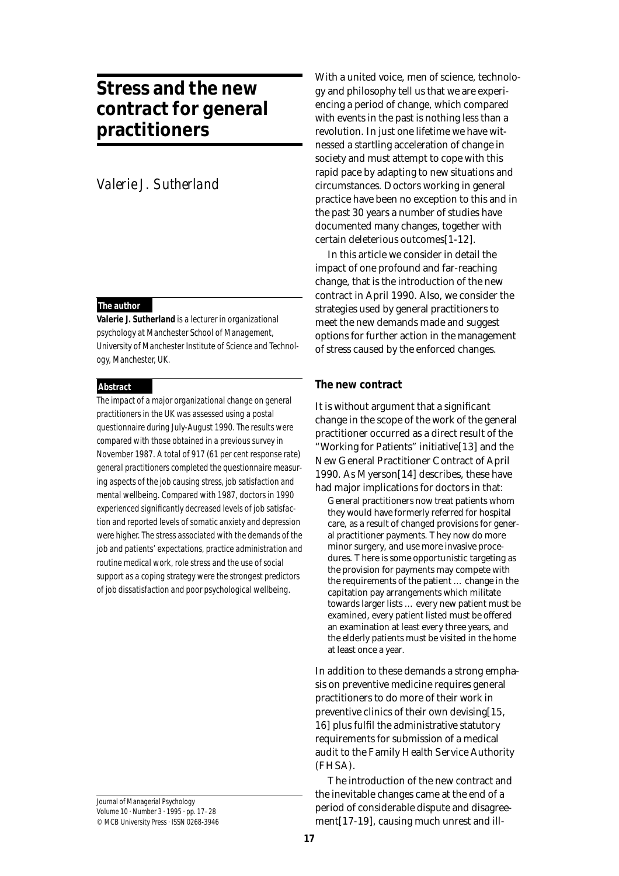# **Stress and the new contract for general practitioners**

## *Valerie J. Sutherland*

#### **The author**

**Valerie J. Sutherland** is a lecturer in organizational psychology at Manchester School of Management, University of Manchester Institute of Science and Technology, Manchester, UK.

#### **Abstract**

The impact of a major organizational change on general practitioners in the UK was assessed using a postal questionnaire during July-August 1990. The results were compared with those obtained in a previous survey in November 1987. A total of 917 (61 per cent response rate) general practitioners completed the questionnaire measuring aspects of the job causing stress, job satisfaction and mental wellbeing. Compared with 1987, doctors in 1990 experienced significantly decreased levels of job satisfaction and reported levels of somatic anxiety and depression were higher. The stress associated with the demands of the job and patients' expectations, practice administration and routine medical work, role stress and the use of social support as a coping strategy were the strongest predictors of job dissatisfaction and poor psychological wellbeing.

Journal of Managerial Psychology Volume 10 · Number 3 · 1995 · pp. 17–28 © MCB University Press · ISSN 0268-3946 With a united voice, men of science, technology and philosophy tell us that we are experiencing a period of change, which compared with events in the past is nothing less than a revolution. In just one lifetime we have witnessed a startling acceleration of change in society and must attempt to cope with this rapid pace by adapting to new situations and circumstances. Doctors working in general practice have been no exception to this and in the past 30 years a number of studies have documented many changes, together with certain deleterious outcomes[1-12].

In this article we consider in detail the impact of one profound and far-reaching change, that is the introduction of the new contract in April 1990. Also, we consider the strategies used by general practitioners to meet the new demands made and suggest options for further action in the management of stress caused by the enforced changes.

#### **The new contract**

It is without argument that a significant change in the scope of the work of the general practitioner occurred as a direct result of the "Working for Patients" initiative[13] and the New General Practitioner Contract of April 1990. As Myerson[14] describes, these have had major implications for doctors in that:

General practitioners now treat patients whom they would have formerly referred for hospital care, as a result of changed provisions for general practitioner payments. They now do more minor surgery, and use more invasive procedures. There is some opportunistic targeting as the provision for payments may compete with the requirements of the patient … change in the capitation pay arrangements which militate towards larger lists … every new patient must be examined, every patient listed must be offered an examination at least every three years, and the elderly patients must be visited in the home at least once a year.

In addition to these demands a strong emphasis on preventive medicine requires general practitioners to do more of their work in preventive clinics of their own devising[15, 16] plus fulfil the administrative statutory requirements for submission of a medical audit to the Family Health Service Authority (FHSA).

The introduction of the new contract and the inevitable changes came at the end of a period of considerable dispute and disagreement[17-19], causing much unrest and ill-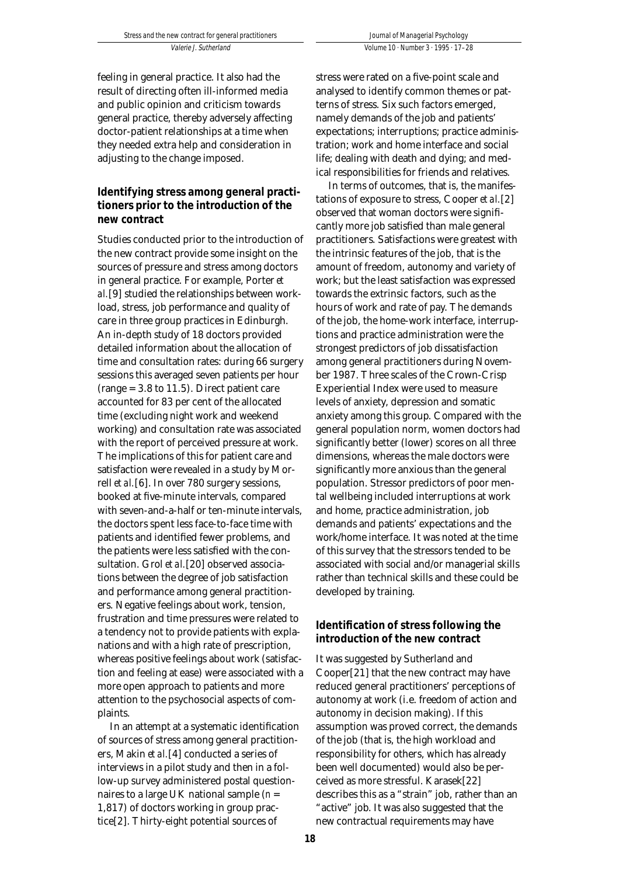Journal of Managerial Psychology Volume 10 · Number 3 · 1995 · 17–28

feeling in general practice. It also had the result of directing often ill-informed media and public opinion and criticism towards general practice, thereby adversely affecting doctor-patient relationships at a time when they needed extra help and consideration in adjusting to the change imposed.

## **Identifying stress among general practitioners prior to the introduction of the new contract**

Studies conducted prior to the introduction of the new contract provide some insight on the sources of pressure and stress among doctors in general practice. For example, Porter *et al.*[9] studied the relationships between workload, stress, job performance and quality of care in three group practices in Edinburgh. An in-depth study of 18 doctors provided detailed information about the allocation of time and consultation rates: during 66 surgery sessions this averaged seven patients per hour (range  $= 3.8$  to 11.5). Direct patient care accounted for 83 per cent of the allocated time (excluding night work and weekend working) and consultation rate was associated with the report of perceived pressure at work. The implications of this for patient care and satisfaction were revealed in a study by Morrell *et al.*[6]. In over 780 surgery sessions, booked at five-minute intervals, compared with seven-and-a-half or ten-minute intervals, the doctors spent less face-to-face time with patients and identified fewer problems, and the patients were less satisfied with the consultation. Grol *et al.*[20] observed associations between the degree of job satisfaction and performance among general practitioners. Negative feelings about work, tension, frustration and time pressures were related to a tendency not to provide patients with explanations and with a high rate of prescription, whereas positive feelings about work (satisfaction and feeling at ease) were associated with a more open approach to patients and more attention to the psychosocial aspects of complaints.

In an attempt at a systematic identification of sources of stress among general practitioners, Makin *et al.*[4] conducted a series of interviews in a pilot study and then in a follow-up survey administered postal questionnaires to a large UK national sample (*n* = 1,817) of doctors working in group practice[2]. Thirty-eight potential sources of

stress were rated on a five-point scale and analysed to identify common themes or patterns of stress. Six such factors emerged, namely demands of the job and patients' expectations; interruptions; practice administration; work and home interface and social life; dealing with death and dying; and medical responsibilities for friends and relatives.

In terms of outcomes, that is, the manifestations of exposure to stress, Cooper *et al.*[2] observed that woman doctors were significantly more job satisfied than male general practitioners. Satisfactions were greatest with the intrinsic features of the job, that is the amount of freedom, autonomy and variety of work; but the least satisfaction was expressed towards the extrinsic factors, such as the hours of work and rate of pay. The demands of the job, the home-work interface, interruptions and practice administration were the strongest predictors of job dissatisfaction among general practitioners during November 1987. Three scales of the Crown-Crisp Experiential Index were used to measure levels of anxiety, depression and somatic anxiety among this group. Compared with the general population norm, women doctors had significantly better (lower) scores on all three dimensions, whereas the male doctors were significantly more anxious than the general population. Stressor predictors of poor mental wellbeing included interruptions at work and home, practice administration, job demands and patients' expectations and the work/home interface. It was noted at the time of this survey that the stressors tended to be associated with social and/or managerial skills rather than technical skills and these could be developed by training.

## **Identification of stress following the introduction of the new contract**

It was suggested by Sutherland and Cooper[21] that the new contract may have reduced general practitioners' perceptions of autonomy at work (i.e. freedom of action and autonomy in decision making). If this assumption was proved correct, the demands of the job (that is, the high workload and responsibility for others, which has already been well documented) would also be perceived as more stressful. Karasek[22] describes this as a "strain" job, rather than an "active" job. It was also suggested that the new contractual requirements may have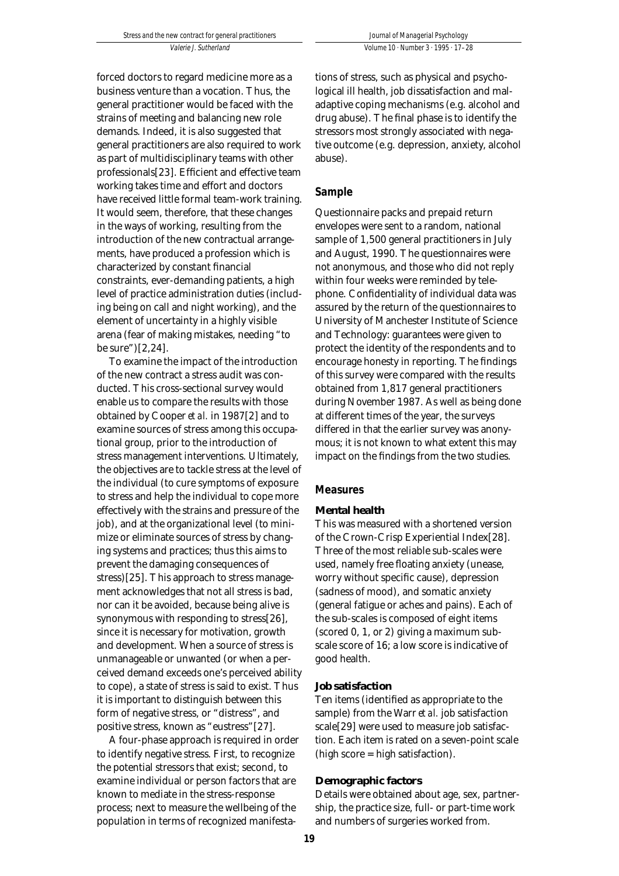forced doctors to regard medicine more as a business venture than a vocation. Thus, the general practitioner would be faced with the strains of meeting and balancing new role demands. Indeed, it is also suggested that general practitioners are also required to work as part of multidisciplinary teams with other professionals[23]. Efficient and effective team working takes time and effort and doctors have received little formal team-work training. It would seem, therefore, that these changes in the ways of working, resulting from the introduction of the new contractual arrangements, have produced a profession which is characterized by constant financial constraints, ever-demanding patients, a high level of practice administration duties (including being on call and night working), and the element of uncertainty in a highly visible arena (fear of making mistakes, needing "to be sure")[2,24].

To examine the impact of the introduction of the new contract a stress audit was conducted. This cross-sectional survey would enable us to compare the results with those obtained by Cooper *et al.* in 1987[2] and to examine sources of stress among this occupational group, prior to the introduction of stress management interventions. Ultimately, the objectives are to tackle stress at the level of the individual (to cure symptoms of exposure to stress and help the individual to cope more effectively with the strains and pressure of the job), and at the organizational level (to minimize or eliminate sources of stress by changing systems and practices; thus this aims to prevent the damaging consequences of stress)[25]. This approach to stress management acknowledges that not all stress is bad, nor can it be avoided, because being alive is synonymous with responding to stress[26], since it is necessary for motivation, growth and development. When a source of stress is unmanageable or unwanted (or when a perceived demand exceeds one's perceived ability to cope), a state of stress is said to exist. Thus it is important to distinguish between this form of negative stress, or "distress", and positive stress, known as "eustress"[27].

A four-phase approach is required in order to identify negative stress. First, to recognize the potential stressors that exist; second, to examine individual or person factors that are known to mediate in the stress-response process; next to measure the wellbeing of the population in terms of recognized manifestations of stress, such as physical and psychological ill health, job dissatisfaction and maladaptive coping mechanisms (e.g. alcohol and drug abuse). The final phase is to identify the stressors most strongly associated with negative outcome (e.g. depression, anxiety, alcohol abuse).

## **Sample**

Questionnaire packs and prepaid return envelopes were sent to a random, national sample of 1,500 general practitioners in July and August, 1990. The questionnaires were not anonymous, and those who did not reply within four weeks were reminded by telephone. Confidentiality of individual data was assured by the return of the questionnaires to University of Manchester Institute of Science and Technology: guarantees were given to protect the identity of the respondents and to encourage honesty in reporting. The findings of this survey were compared with the results obtained from 1,817 general practitioners during November 1987. As well as being done at different times of the year, the surveys differed in that the earlier survey was anonymous; it is not known to what extent this may impact on the findings from the two studies.

## **Measures**

#### **Mental health**

This was measured with a shortened version of the Crown-Crisp Experiential Index[28]. Three of the most reliable sub-scales were used, namely free floating anxiety (unease, worry without specific cause), depression (sadness of mood), and somatic anxiety (general fatigue or aches and pains). Each of the sub-scales is composed of eight items (scored 0, 1, or 2) giving a maximum subscale score of 16; a low score is indicative of good health.

#### **Job satisfaction**

Ten items (identified as appropriate to the sample) from the Warr *et al.* job satisfaction scale[29] were used to measure job satisfaction. Each item is rated on a seven-point scale (high score = high satisfaction).

#### **Demographic factors**

Details were obtained about age, sex, partnership, the practice size, full- or part-time work and numbers of surgeries worked from.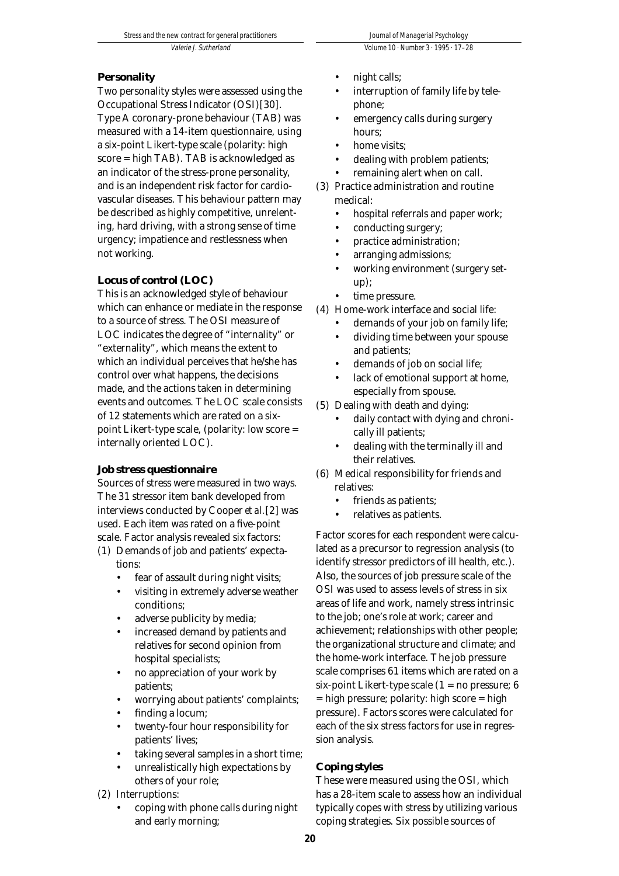## **Personality**

Two personality styles were assessed using the Occupational Stress Indicator (OSI)[30]. Type A coronary-prone behaviour (TAB) was measured with a 14-item questionnaire, using a six-point Likert-type scale (polarity: high score = high TAB). TAB is acknowledged as an indicator of the stress-prone personality, and is an independent risk factor for cardiovascular diseases. This behaviour pattern may be described as highly competitive, unrelenting, hard driving, with a strong sense of time urgency; impatience and restlessness when not working.

## *Locus* **of control (LOC)**

This is an acknowledged style of behaviour which can enhance or mediate in the response to a source of stress. The OSI measure of LOC indicates the degree of "internality" or "externality", which means the extent to which an individual perceives that he/she has control over what happens, the decisions made, and the actions taken in determining events and outcomes. The LOC scale consists of 12 statements which are rated on a sixpoint Likert-type scale, (polarity: low score = internally oriented LOC).

#### **Job stress questionnaire**

Sources of stress were measured in two ways. The 31 stressor item bank developed from interviews conducted by Cooper *et al.*[2] was used. Each item was rated on a five-point scale. Factor analysis revealed six factors:

- (1) Demands of job and patients' expectations:
	- fear of assault during night visits;
	- visiting in extremely adverse weather conditions;
	- adverse publicity by media;
	- increased demand by patients and relatives for second opinion from hospital specialists;
	- no appreciation of your work by patients;
	- worrying about patients' complaints;
	- finding a locum;
	- twenty-four hour responsibility for patients' lives;
	- taking several samples in a short time;
	- unrealistically high expectations by others of your role;
- (2) Interruptions:
	- coping with phone calls during night and early morning;
- night calls:
- interruption of family life by telephone;
- emergency calls during surgery hours;
- home visits:
- dealing with problem patients;
- remaining alert when on call.
- (3) Practice administration and routine medical:
	- hospital referrals and paper work;
	- conducting surgery;
	- practice administration;
	- arranging admissions;
	- working environment (surgery setup);
	- time pressure.
- (4) Home-work interface and social life:
	- demands of your job on family life;
	- dividing time between your spouse and patients;
	- demands of job on social life;
	- lack of emotional support at home, especially from spouse.
- (5) Dealing with death and dying:
	- daily contact with dying and chronically ill patients;
	- dealing with the terminally ill and their relatives.
- (6) Medical responsibility for friends and relatives:
	- friends as patients;
	- relatives as patients.

Factor scores for each respondent were calculated as a precursor to regression analysis (to identify stressor predictors of ill health, etc.). Also, the sources of job pressure scale of the OSI was used to assess levels of stress in six areas of life and work, namely stress intrinsic to the job; one's role at work; career and achievement; relationships with other people; the organizational structure and climate; and the home-work interface. The job pressure scale comprises 61 items which are rated on a six-point Likert-type scale  $(1 = no pressure; 6$ = high pressure; polarity: high score = high pressure). Factors scores were calculated for each of the six stress factors for use in regression analysis.

## **Coping styles**

These were measured using the OSI, which has a 28-item scale to assess how an individual typically copes with stress by utilizing various coping strategies. Six possible sources of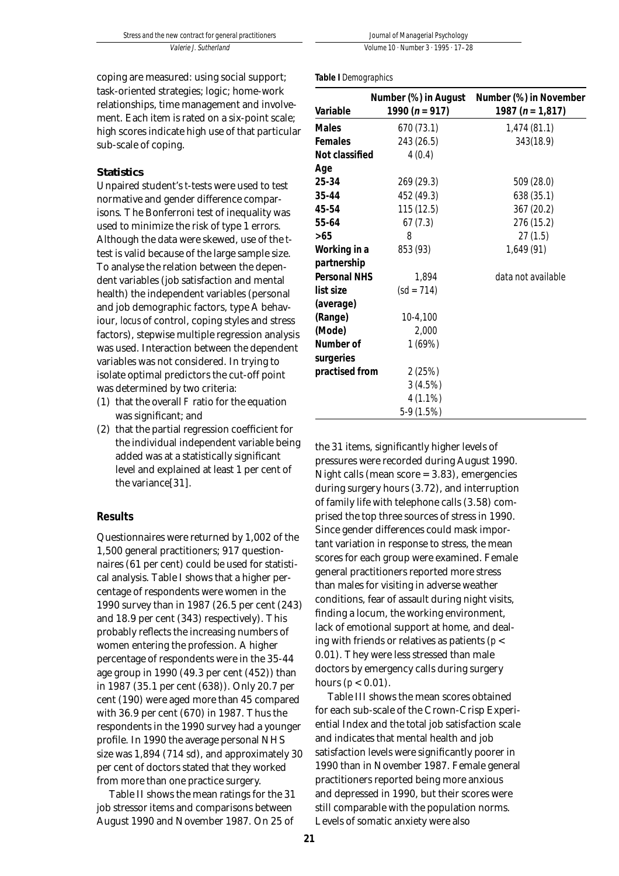Journal of Managerial Psychology

Volume 10 · Number 3 · 1995 · 17–28

**Table I** Demographics

coping are measured: using social support; task-oriented strategies; logic; home-work relationships, time management and involvement. Each item is rated on a six-point scale; high scores indicate high use of that particular sub-scale of coping.

#### **Statistics**

Unpaired student's *t*-tests were used to test normative and gender difference comparisons. The Bonferroni test of inequality was used to minimize the risk of type 1 errors. Although the data were skewed, use of the *t*test is valid because of the large sample size. To analyse the relation between the dependent variables (job satisfaction and mental health) the independent variables (personal and job demographic factors, type A behaviour, *locus* of control, coping styles and stress factors), stepwise multiple regression analysis was used. Interaction between the dependent variables was not considered. In trying to isolate optimal predictors the cut-off point was determined by two criteria:

- (1) that the overall *F* ratio for the equation was significant; and
- (2) that the partial regression coefficient for the individual independent variable being added was at a statistically significant level and explained at least 1 per cent of the variance[31].

#### **Results**

Questionnaires were returned by 1,002 of the 1,500 general practitioners; 917 questionnaires (61 per cent) could be used for statistical analysis. Table I shows that a higher percentage of respondents were women in the 1990 survey than in 1987 (26.5 per cent (243) and 18.9 per cent (343) respectively). This probably reflects the increasing numbers of women entering the profession. A higher percentage of respondents were in the 35-44 age group in 1990 (49.3 per cent (452)) than in 1987 (35.1 per cent (638)). Only 20.7 per cent (190) were aged more than 45 compared with 36.9 per cent (670) in 1987. Thus the respondents in the 1990 survey had a younger profile. In 1990 the average personal NHS size was 1,894 (714 sd), and approximately 30 per cent of doctors stated that they worked from more than one practice surgery.

Table II shows the mean ratings for the 31 job stressor items and comparisons between August 1990 and November 1987. On 25 of

| Variable            | Number (%) in August<br>1990 ( $n = 917$ ) | Number (%) in November<br>1987 ( $n = 1,817$ ) |
|---------------------|--------------------------------------------|------------------------------------------------|
| <b>Males</b>        | 670 (73.1)                                 | 1,474 (81.1)                                   |
| Females             | 243 (26.5)                                 | 343(18.9)                                      |
| Not classified      | 4(0.4)                                     |                                                |
| Age                 |                                            |                                                |
| 25-34               | 269 (29.3)                                 | 509 (28.0)                                     |
| 35-44               | 452 (49.3)                                 | 638 (35.1)                                     |
| 45-54               | 115 (12.5)                                 | 367 (20.2)                                     |
| 55-64               | 67(7.3)                                    | 276 (15.2)                                     |
| >65                 | 8                                          | 27(1.5)                                        |
| Working in a        | 853 (93)                                   | 1,649 (91)                                     |
| partnership         |                                            |                                                |
| <b>Personal NHS</b> | 1.894                                      | data not available                             |
| list size           | $(sd = 714)$                               |                                                |
| (average)           |                                            |                                                |
| (Range)             | 10-4,100                                   |                                                |
| (Mode)              | 2,000                                      |                                                |
| Number of           | 1(69%)                                     |                                                |
| surgeries           |                                            |                                                |
| practised from      | 2(25%)                                     |                                                |
|                     | 3(4.5%)                                    |                                                |
|                     | $4(1.1\%)$                                 |                                                |
|                     | 5-9 (1.5%)                                 |                                                |

the 31 items, significantly higher levels of pressures were recorded during August 1990. Night calls (mean score = 3.83), emergencies during surgery hours (3.72), and interruption of family life with telephone calls (3.58) comprised the top three sources of stress in 1990. Since gender differences could mask important variation in response to stress, the mean scores for each group were examined. Female general practitioners reported more stress than males for visiting in adverse weather conditions, fear of assault during night visits, finding a locum, the working environment, lack of emotional support at home, and dealing with friends or relatives as patients (*p* < 0.01). They were less stressed than male doctors by emergency calls during surgery hours ( $p < 0.01$ ).

Table III shows the mean scores obtained for each sub-scale of the Crown-Crisp Experiential Index and the total job satisfaction scale and indicates that mental health and job satisfaction levels were significantly poorer in 1990 than in November 1987. Female general practitioners reported being more anxious and depressed in 1990, but their scores were still comparable with the population norms. Levels of somatic anxiety were also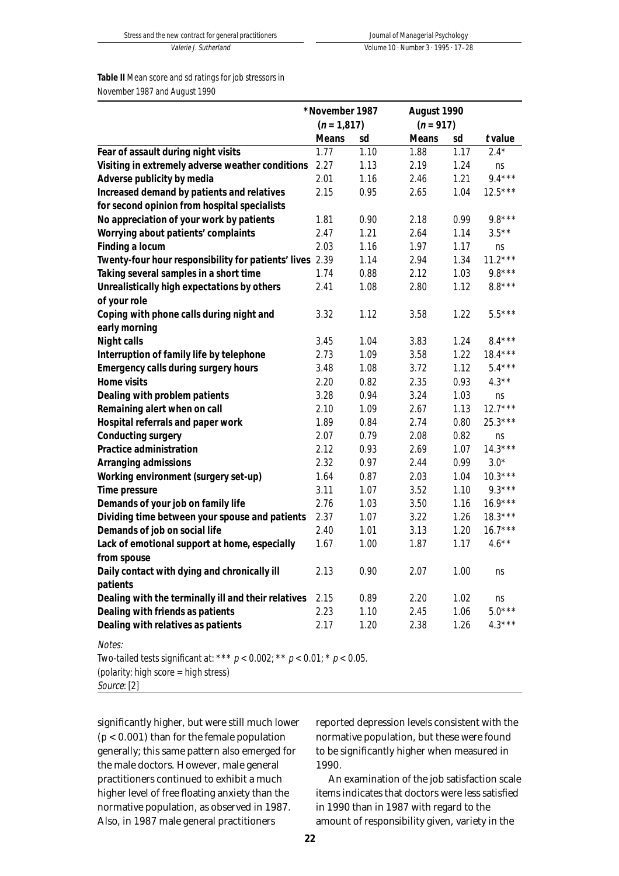#### **Table II** Mean score and sd ratings for job stressors in November 1987 and August 1990

|                                                          | *November 1987 |      |              | August 1990 |           |
|----------------------------------------------------------|----------------|------|--------------|-------------|-----------|
|                                                          | $(n = 1, 817)$ |      |              | $(n = 917)$ |           |
|                                                          | <b>Means</b>   | sd   | <b>Means</b> | sd          | t value   |
| Fear of assault during night visits                      | 1.77           | 1.10 | 1.88         | 1.17        | $2.4*$    |
| Visiting in extremely adverse weather conditions         | 2.27           | 1.13 | 2.19         | 1.24        | ns        |
| Adverse publicity by media                               | 2.01           | 1.16 | 2.46         | 1.21        | $9.4***$  |
| Increased demand by patients and relatives               | 2.15           | 0.95 | 2.65         | 1.04        | $12.5***$ |
| for second opinion from hospital specialists             |                |      |              |             |           |
| No appreciation of your work by patients                 | 1.81           | 0.90 | 2.18         | 0.99        | $9.8***$  |
| Worrying about patients' complaints                      | 2.47           | 1.21 | 2.64         | 1.14        | $3.5**$   |
| Finding a locum                                          | 2.03           | 1.16 | 1.97         | 1.17        | ns        |
| Twenty-four hour responsibility for patients' lives 2.39 |                | 1.14 | 2.94         | 1.34        | $11.2***$ |
| Taking several samples in a short time                   | 1.74           | 0.88 | 2.12         | 1.03        | $9.8***$  |
| Unrealistically high expectations by others              | 2.41           | 1.08 | 2.80         | 1.12        | $8.8***$  |
| of your role                                             |                |      |              |             |           |
| Coping with phone calls during night and                 | 3.32           | 1.12 | 3.58         | 1.22        | $5.5***$  |
| early morning                                            |                |      |              |             |           |
| <b>Night calls</b>                                       | 3.45           | 1.04 | 3.83         | 1.24        | $8.4***$  |
| Interruption of family life by telephone                 | 2.73           | 1.09 | 3.58         | 1.22        | $18.4***$ |
| <b>Emergency calls during surgery hours</b>              | 3.48           | 1.08 | 3.72         | 1.12        | $5.4***$  |
| Home visits                                              | 2.20           | 0.82 | 2.35         | 0.93        | $4.3**$   |
| Dealing with problem patients                            | 3.28           | 0.94 | 3.24         | 1.03        | ns        |
| Remaining alert when on call                             | 2.10           | 1.09 | 2.67         | 1.13        | $12.7***$ |
| Hospital referrals and paper work                        | 1.89           | 0.84 | 2.74         | 0.80        | $25.3***$ |
| <b>Conducting surgery</b>                                | 2.07           | 0.79 | 2.08         | 0.82        | ns        |
| Practice administration                                  | 2.12           | 0.93 | 2.69         | 1.07        | $14.3***$ |
| Arranging admissions                                     | 2.32           | 0.97 | 2.44         | 0.99        | $3.0*$    |
| Working environment (surgery set-up)                     | 1.64           | 0.87 | 2.03         | 1.04        | $10.3***$ |
| Time pressure                                            | 3.11           | 1.07 | 3.52         | 1.10        | $9.3***$  |
| Demands of your job on family life                       | 2.76           | 1.03 | 3.50         | 1.16        | $16.9***$ |
| Dividing time between your spouse and patients           | 2.37           | 1.07 | 3.22         | 1.26        | $18.3***$ |
| Demands of job on social life                            | 2.40           | 1.01 | 3.13         | 1.20        | $16.7***$ |
| Lack of emotional support at home, especially            | 1.67           | 1.00 | 1.87         | 1.17        | $4.6***$  |
| from spouse                                              |                |      |              |             |           |
| Daily contact with dying and chronically ill             | 2.13           | 0.90 | 2.07         | 1.00        | ns        |
| patients                                                 |                |      |              |             |           |
| Dealing with the terminally ill and their relatives      | 2.15           | 0.89 | 2.20         | 1.02        | ns        |
| Dealing with friends as patients                         | 2.23           | 1.10 | 2.45         | 1.06        | $5.0***$  |
| Dealing with relatives as patients                       | 2.17           | 1.20 | 2.38         | 1.26        | $4.3***$  |
|                                                          |                |      |              |             |           |

Notes:

Two-tailed tests significant at: \*\*\*  $p < 0.002$ ; \*\*  $p < 0.01$ ; \*  $p < 0.05$ . (polarity: high score = high stress) Source: [2]

significantly higher, but were still much lower  $(p < 0.001)$  than for the female population generally; this same pattern also emerged for the male doctors. However, male general practitioners continued to exhibit a much higher level of free floating anxiety than the normative population, as observed in 1987. Also, in 1987 male general practitioners

reported depression levels consistent with the normative population, but these were found to be significantly higher when measured in 1990.

An examination of the job satisfaction scale items indicates that doctors were less satisfied in 1990 than in 1987 with regard to the amount of responsibility given, variety in the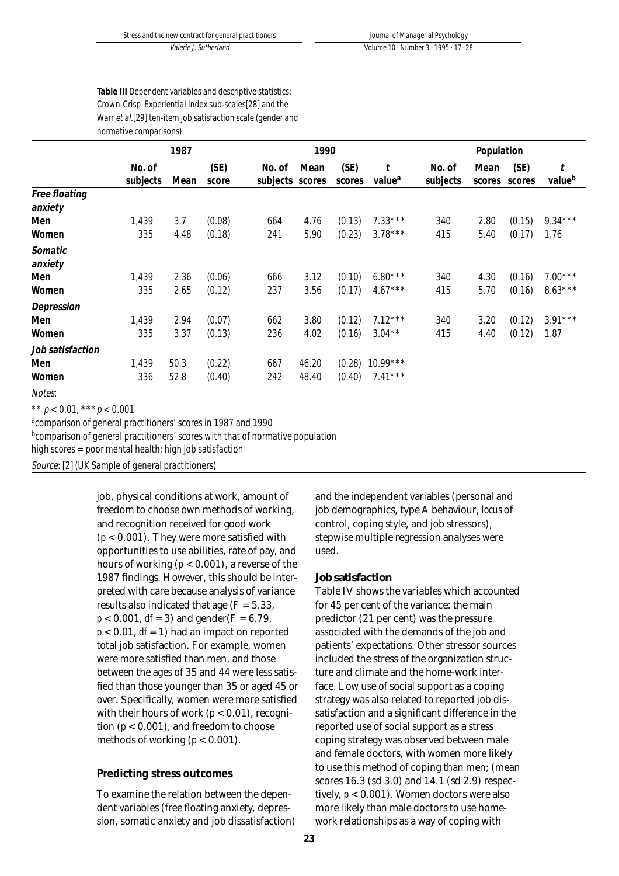## **Table III** Dependent variables and descriptive statistics: Crown-Crisp Experiential Index sub-scales[28] and the Warr et al.[29] ten-item job satisfaction scale (gender and normative comparisons)

|                          | 1987               |      |               | 1990                      |       |                | Population              |                    |      |                       |                         |
|--------------------------|--------------------|------|---------------|---------------------------|-------|----------------|-------------------------|--------------------|------|-----------------------|-------------------------|
|                          | No. of<br>subjects | Mean | (SE)<br>score | No. of<br>subjects scores | Mean  | (SE)<br>scores | t<br>value <sup>a</sup> | No. of<br>subjects | Mean | (SE)<br>scores scores | t<br>value <sup>b</sup> |
| Free floating<br>anxiety |                    |      |               |                           |       |                |                         |                    |      |                       |                         |
| Men                      | 1,439              | 3.7  | (0.08)        | 664                       | 4.76  | (0.13)         | $7.33***$               | 340                | 2.80 | (0.15)                | $9.34***$               |
| Women                    | 335                | 4.48 | (0.18)        | 241                       | 5.90  | (0.23)         | $3.78***$               | 415                | 5.40 | (0.17)                | 1.76                    |
| Somatic<br>anxiety       |                    |      |               |                           |       |                |                         |                    |      |                       |                         |
| Men                      | 1,439              | 2.36 | (0.06)        | 666                       | 3.12  | (0.10)         | $6.80***$               | 340                | 4.30 | (0.16)                | $7.00***$               |
| Women                    | 335                | 2.65 | (0.12)        | 237                       | 3.56  | (0.17)         | $4.67***$               | 415                | 5.70 | (0.16)                | $8.63***$               |
| Depression               |                    |      |               |                           |       |                |                         |                    |      |                       |                         |
| Men                      | 1,439              | 2.94 | (0.07)        | 662                       | 3.80  | (0.12)         | $7.12***$               | 340                | 3.20 | (0.12)                | $3.91***$               |
| Women                    | 335                | 3.37 | (0.13)        | 236                       | 4.02  | (0.16)         | $3.04**$                | 415                | 4.40 | (0.12)                | 1.87                    |
| Job satisfaction         |                    |      |               |                           |       |                |                         |                    |      |                       |                         |
| Men                      | 1,439              | 50.3 | (0.22)        | 667                       | 46.20 | (0.28)         | $10.99***$              |                    |      |                       |                         |
| Women                    | 336                | 52.8 | (0.40)        | 242                       | 48.40 | (0.40)         | $7.41***$               |                    |      |                       |                         |
| Notes:                   |                    |      |               |                           |       |                |                         |                    |      |                       |                         |

\*\*  $p < 0.01$ , \*\*\*  $p < 0.001$ 

acomparison of general practitioners' scores in 1987 and 1990

bcomparison of general practitioners' scores with that of normative population

high scores = poor mental health; high job satisfaction

Source: [2] (UK Sample of general practitioners)

job, physical conditions at work, amount of freedom to choose own methods of working, and recognition received for good work (*p* < 0.001). They were more satisfied with opportunities to use abilities, rate of pay, and hours of working (*p* < 0.001), a reverse of the 1987 findings. However, this should be interpreted with care because analysis of variance results also indicated that age  $(F = 5.33)$ ,  $p < 0.001$ , *df* = 3) and gender(*F* = 6.79,  $p < 0.01$ ,  $df = 1$ ) had an impact on reported total job satisfaction. For example, women were more satisfied than men, and those between the ages of 35 and 44 were less satisfied than those younger than 35 or aged 45 or over. Specifically, women were more satisfied with their hours of work  $(p < 0.01)$ , recognition ( $p < 0.001$ ), and freedom to choose methods of working  $(p < 0.001)$ .

## **Predicting stress outcomes**

To examine the relation between the dependent variables (free floating anxiety, depression, somatic anxiety and job dissatisfaction)

and the independent variables (personal and job demographics, type A behaviour, *locus* of control, coping style, and job stressors), stepwise multiple regression analyses were used.

#### **Job satisfaction**

Table IV shows the variables which accounted for 45 per cent of the variance: the main predictor (21 per cent) was the pressure associated with the demands of the job and patients' expectations. Other stressor sources included the stress of the organization structure and climate and the home-work interface. Low use of social support as a coping strategy was also related to reported job dissatisfaction and a significant difference in the reported use of social support as a stress coping strategy was observed between male and female doctors, with women more likely to use this method of coping than men; (mean scores 16.3 (sd 3.0) and 14.1 (sd 2.9) respectively, *p* < 0.001). Women doctors were also more likely than male doctors to use homework relationships as a way of coping with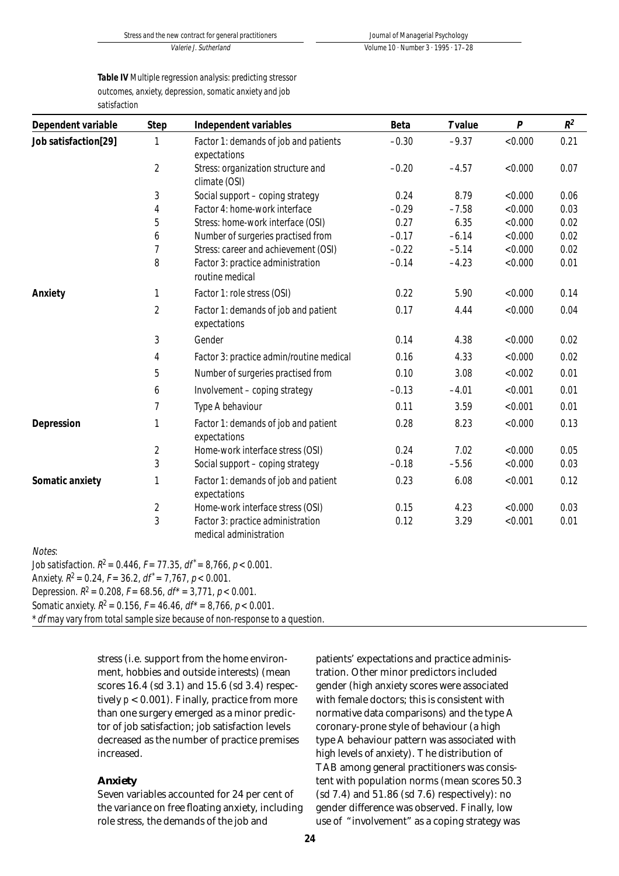**Table IV** Multiple regression analysis: predicting stressor outcomes, anxiety, depression, somatic anxiety and job satisfaction

| Dependent variable                                                                                                                                    | <b>Step</b>    | Independent variables                                                       | Beta    | <b>T</b> value | $\boldsymbol{P}$ | $R^2$ |
|-------------------------------------------------------------------------------------------------------------------------------------------------------|----------------|-----------------------------------------------------------------------------|---------|----------------|------------------|-------|
| Job satisfaction[29]                                                                                                                                  | 1              | Factor 1: demands of job and patients<br>expectations                       | $-0.30$ | $-9.37$        | <0.000           | 0.21  |
|                                                                                                                                                       | $\overline{2}$ | Stress: organization structure and<br>climate (OSI)                         | $-0.20$ | $-4.57$        | < 0.000          | 0.07  |
|                                                                                                                                                       | 3              | Social support - coping strategy                                            | 0.24    | 8.79           | < 0.000          | 0.06  |
|                                                                                                                                                       | 4              | Factor 4: home-work interface                                               | $-0.29$ | $-7.58$        | <0.000           | 0.03  |
|                                                                                                                                                       | 5              | Stress: home-work interface (OSI)                                           | 0.27    | 6.35           | <0.000           | 0.02  |
|                                                                                                                                                       | 6              | Number of surgeries practised from                                          | $-0.17$ | $-6.14$        | <0.000           | 0.02  |
|                                                                                                                                                       | $\overline{7}$ | Stress: career and achievement (OSI)                                        | $-0.22$ | $-5.14$        | <0.000           | 0.02  |
|                                                                                                                                                       | 8              | Factor 3: practice administration<br>routine medical                        | $-0.14$ | $-4.23$        | <0.000           | 0.01  |
| Anxiety                                                                                                                                               | 1              | Factor 1: role stress (OSI)                                                 | 0.22    | 5.90           | < 0.000          | 0.14  |
|                                                                                                                                                       | $\overline{2}$ | Factor 1: demands of job and patient<br>expectations                        | 0.17    | 4.44           | < 0.000          | 0.04  |
|                                                                                                                                                       | 3              | Gender                                                                      | 0.14    | 4.38           | < 0.000          | 0.02  |
|                                                                                                                                                       | 4              | Factor 3: practice admin/routine medical                                    | 0.16    | 4.33           | < 0.000          | 0.02  |
|                                                                                                                                                       | 5              | Number of surgeries practised from                                          | 0.10    | 3.08           | < 0.002          | 0.01  |
|                                                                                                                                                       | 6              | Involvement - coping strategy                                               | $-0.13$ | $-4.01$        | < 0.001          | 0.01  |
|                                                                                                                                                       | 7              | Type A behaviour                                                            | 0.11    | 3.59           | < 0.001          | 0.01  |
| Depression                                                                                                                                            | 1              | Factor 1: demands of job and patient<br>expectations                        | 0.28    | 8.23           | < 0.000          | 0.13  |
|                                                                                                                                                       | 2              | Home-work interface stress (OSI)                                            | 0.24    | 7.02           | < 0.000          | 0.05  |
|                                                                                                                                                       | 3              | Social support - coping strategy                                            | $-0.18$ | $-5.56$        | < 0.000          | 0.03  |
| Somatic anxiety                                                                                                                                       | 1              | Factor 1: demands of job and patient<br>expectations                        | 0.23    | 6.08           | < 0.001          | 0.12  |
|                                                                                                                                                       | $\overline{2}$ | Home-work interface stress (OSI)                                            | 0.15    | 4.23           | < 0.000          | 0.03  |
|                                                                                                                                                       | 3              | Factor 3: practice administration<br>medical administration                 | 0.12    | 3.29           | < 0.001          | 0.01  |
| Notes:                                                                                                                                                |                |                                                                             |         |                |                  |       |
| Job satisfaction. $R^2 = 0.446$ , $F = 77.35$ , $df^* = 8.766$ , $p < 0.001$ .<br>Anxiety. $R^2 = 0.24$ , $F = 36.2$ , $df^* = 7.767$ , $p < 0.001$ . |                |                                                                             |         |                |                  |       |
| Depression. $R^2$ = 0.208, $F$ = 68.56, $df^*$ = 3,771, $p$ < 0.001.                                                                                  |                |                                                                             |         |                |                  |       |
| Somatic anxiety. $R^2$ = 0.156, $F$ = 46.46, $df^*$ = 8,766, $p$ < 0.001.                                                                             |                |                                                                             |         |                |                  |       |
|                                                                                                                                                       |                | * df may vary from total sample size because of non-response to a question. |         |                |                  |       |

stress (i.e. support from the home environment, hobbies and outside interests) (mean scores 16.4 (sd 3.1) and 15.6 (sd 3.4) respectively *p* < 0.001). Finally, practice from more than one surgery emerged as a minor predictor of job satisfaction; job satisfaction levels decreased as the number of practice premises increased.

#### **Anxiety**

Seven variables accounted for 24 per cent of the variance on free floating anxiety, including role stress, the demands of the job and

patients' expectations and practice administration. Other minor predictors included gender (high anxiety scores were associated with female doctors; this is consistent with normative data comparisons) and the type A coronary-prone style of behaviour (a high type A behaviour pattern was associated with high levels of anxiety). The distribution of TAB among general practitioners was consistent with population norms (mean scores 50.3 (sd 7.4) and 51.86 (sd 7.6) respectively): no gender difference was observed. Finally, low use of "involvement" as a coping strategy was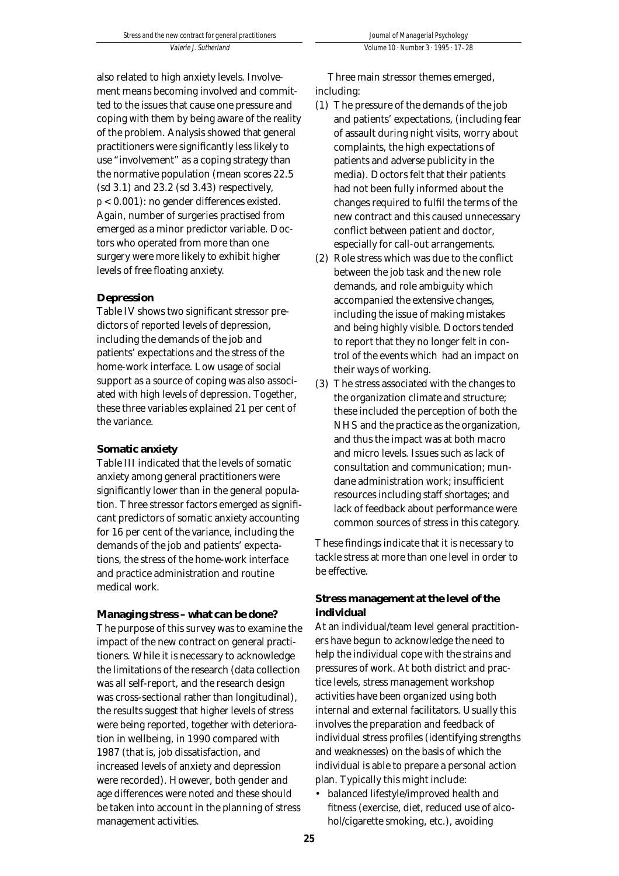also related to high anxiety levels. Involvement means becoming involved and committed to the issues that cause one pressure and coping with them by being aware of the reality of the problem. Analysis showed that general practitioners were significantly less likely to use "involvement" as a coping strategy than the normative population (mean scores 22.5 (sd 3.1) and 23.2 (sd 3.43) respectively, *p* < 0.001): no gender differences existed. Again, number of surgeries practised from emerged as a minor predictor variable. Doctors who operated from more than one surgery were more likely to exhibit higher levels of free floating anxiety.

## **Depression**

Table IV shows two significant stressor predictors of reported levels of depression, including the demands of the job and patients' expectations and the stress of the home-work interface. Low usage of social support as a source of coping was also associated with high levels of depression. Together, these three variables explained 21 per cent of the variance.

#### **Somatic anxiety**

Table III indicated that the levels of somatic anxiety among general practitioners were significantly lower than in the general population. Three stressor factors emerged as significant predictors of somatic anxiety accounting for 16 per cent of the variance, including the demands of the job and patients' expectations, the stress of the home-work interface and practice administration and routine medical work.

#### **Managing stress – what can be done?**

The purpose of this survey was to examine the impact of the new contract on general practitioners. While it is necessary to acknowledge the limitations of the research (data collection was all self-report, and the research design was cross-sectional rather than longitudinal), the results suggest that higher levels of stress were being reported, together with deterioration in wellbeing, in 1990 compared with 1987 (that is, job dissatisfaction, and increased levels of anxiety and depression were recorded). However, both gender and age differences were noted and these should be taken into account in the planning of stress management activities.

Three main stressor themes emerged, including:

- (1) The pressure of the demands of the job and patients' expectations, (including fear of assault during night visits, worry about complaints, the high expectations of patients and adverse publicity in the media). Doctors felt that their patients had not been fully informed about the changes required to fulfil the terms of the new contract and this caused unnecessary conflict between patient and doctor, especially for call-out arrangements.
- (2) Role stress which was due to the conflict between the job task and the new role demands, and role ambiguity which accompanied the extensive changes, including the issue of making mistakes and being highly visible. Doctors tended to report that they no longer felt in control of the events which had an impact on their ways of working.
- (3) The stress associated with the changes to the organization climate and structure; these included the perception of both the NHS and the practice as the organization, and thus the impact was at both macro and micro levels. Issues such as lack of consultation and communication; mundane administration work; insufficient resources including staff shortages; and lack of feedback about performance were common sources of stress in this category.

These findings indicate that it is necessary to tackle stress at more than one level in order to be effective.

## **Stress management at the level of the individual**

At an individual/team level general practitioners have begun to acknowledge the need to help the individual cope with the strains and pressures of work. At both district and practice levels, stress management workshop activities have been organized using both internal and external facilitators. Usually this involves the preparation and feedback of individual stress profiles (identifying strengths and weaknesses) on the basis of which the individual is able to prepare a personal action plan. Typically this might include:

• balanced lifestyle/improved health and fitness (exercise, diet, reduced use of alcohol/cigarette smoking, etc.), avoiding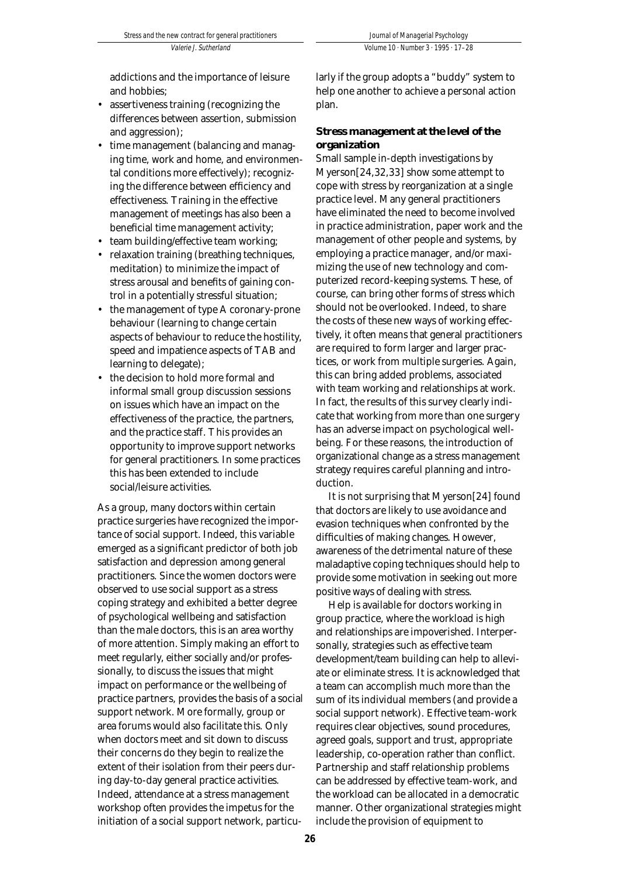addictions and the importance of leisure and hobbies;

- assertiveness training (recognizing the differences between assertion, submission and aggression);
- time management (balancing and managing time, work and home, and environmental conditions more effectively); recognizing the difference between efficiency and effectiveness. Training in the effective management of meetings has also been a beneficial time management activity;
- team building/effective team working;
- relaxation training (breathing techniques, meditation) to minimize the impact of stress arousal and benefits of gaining control in a potentially stressful situation;
- the management of type A coronary-prone behaviour (learning to change certain aspects of behaviour to reduce the hostility, speed and impatience aspects of TAB and learning to delegate);
- the decision to hold more formal and informal small group discussion sessions on issues which have an impact on the effectiveness of the practice, the partners, and the practice staff. This provides an opportunity to improve support networks for general practitioners. In some practices this has been extended to include social/leisure activities.

As a group, many doctors within certain practice surgeries have recognized the importance of social support. Indeed, this variable emerged as a significant predictor of both job satisfaction and depression among general practitioners. Since the women doctors were observed to use social support as a stress coping strategy and exhibited a better degree of psychological wellbeing and satisfaction than the male doctors, this is an area worthy of more attention. Simply making an effort to meet regularly, either socially and/or professionally, to discuss the issues that might impact on performance or the wellbeing of practice partners, provides the basis of a social support network. More formally, group or area forums would also facilitate this. Only when doctors meet and sit down to discuss their concerns do they begin to realize the extent of their isolation from their peers during day-to-day general practice activities. Indeed, attendance at a stress management workshop often provides the impetus for the initiation of a social support network, particularly if the group adopts a "buddy" system to help one another to achieve a personal action plan.

## **Stress management at the level of the organization**

Small sample in-depth investigations by Myerson[24,32,33] show some attempt to cope with stress by reorganization at a single practice level. Many general practitioners have eliminated the need to become involved in practice administration, paper work and the management of other people and systems, by employing a practice manager, and/or maximizing the use of new technology and computerized record-keeping systems. These, of course, can bring other forms of stress which should not be overlooked. Indeed, to share the costs of these new ways of working effectively, it often means that general practitioners are required to form larger and larger practices, or work from multiple surgeries. Again, this can bring added problems, associated with team working and relationships at work. In fact, the results of this survey clearly indicate that working from more than one surgery has an adverse impact on psychological wellbeing. For these reasons, the introduction of organizational change as a stress management strategy requires careful planning and introduction.

It is not surprising that Myerson[24] found that doctors are likely to use avoidance and evasion techniques when confronted by the difficulties of making changes. However, awareness of the detrimental nature of these maladaptive coping techniques should help to provide some motivation in seeking out more positive ways of dealing with stress.

Help is available for doctors working in group practice, where the workload is high and relationships are impoverished. Interpersonally, strategies such as effective team development/team building can help to alleviate or eliminate stress. It is acknowledged that a team can accomplish much more than the sum of its individual members (and provide a social support network). Effective team-work requires clear objectives, sound procedures, agreed goals, support and trust, appropriate leadership, co-operation rather than conflict. Partnership and staff relationship problems can be addressed by effective team-work, and the workload can be allocated in a democratic manner. Other organizational strategies might include the provision of equipment to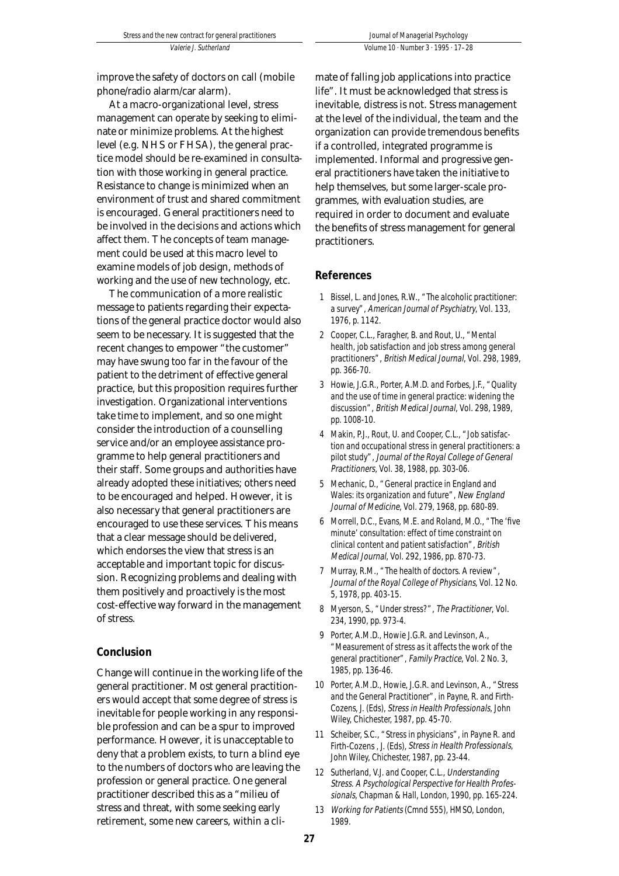improve the safety of doctors on call (mobile phone/radio alarm/car alarm).

At a macro-organizational level, stress management can operate by seeking to eliminate or minimize problems. At the highest level (e.g. NHS or FHSA), the general practice model should be re-examined in consultation with those working in general practice. Resistance to change is minimized when an environment of trust and shared commitment is encouraged. General practitioners need to be involved in the decisions and actions which affect them. The concepts of team management could be used at this macro level to examine models of job design, methods of working and the use of new technology, etc.

The communication of a more realistic message to patients regarding their expectations of the general practice doctor would also seem to be necessary. It is suggested that the recent changes to empower "the customer" may have swung too far in the favour of the patient to the detriment of effective general practice, but this proposition requires further investigation. Organizational interventions take time to implement, and so one might consider the introduction of a counselling service and/or an employee assistance programme to help general practitioners and their staff. Some groups and authorities have already adopted these initiatives; others need to be encouraged and helped. However, it is also necessary that general practitioners are encouraged to use these services. This means that a clear message should be delivered, which endorses the view that stress is an acceptable and important topic for discussion. Recognizing problems and dealing with them positively and proactively is the most cost-effective way forward in the management of stress.

#### **Conclusion**

Change will continue in the working life of the general practitioner. Most general practitioners would accept that some degree of stress is inevitable for people working in any responsible profession and can be a spur to improved performance. However, it is unacceptable to deny that a problem exists, to turn a blind eye to the numbers of doctors who are leaving the profession or general practice. One general practitioner described this as a "milieu of stress and threat, with some seeking early retirement, some new careers, within a climate of falling job applications into practice life". It must be acknowledged that stress is inevitable, distress is not. Stress management at the level of the individual, the team and the organization can provide tremendous benefits if a controlled, integrated programme is implemented. Informal and progressive general practitioners have taken the initiative to help themselves, but some larger-scale programmes, with evaluation studies, are required in order to document and evaluate the benefits of stress management for general practitioners.

#### **References**

- 1 Bissel, L. and Jones, R.W., "The alcoholic practitioner: a survey", American Journal of Psychiatry, Vol. 133, 1976, p. 1142.
- 2 Cooper, C.L., Faragher, B. and Rout, U., "Mental health, job satisfaction and job stress among general practitioners", British Medical Journal, Vol. 298, 1989, pp. 366-70.
- 3 Howie, J.G.R., Porter, A.M.D. and Forbes, J.F., "Quality and the use of time in general practice: widening the discussion", British Medical Journal, Vol. 298, 1989, pp. 1008-10.
- 4 Makin, P.J., Rout, U. and Cooper, C.L., "Job satisfaction and occupational stress in general practitioners: a pilot study", Journal of the Royal College of General Practitioners, Vol. 38, 1988, pp. 303-06.
- 5 Mechanic, D., "General practice in England and Wales: its organization and future", New England Journal of Medicine, Vol. 279, 1968, pp. 680-89.
- 6 Morrell, D.C., Evans, M.E. and Roland, M.O., "The 'five minute' consultation: effect of time constraint on clinical content and patient satisfaction", British Medical Journal, Vol. 292, 1986, pp. 870-73.
- 7 Murray, R.M., "The health of doctors. A review", Journal of the Royal College of Physicians, Vol. 12 No. 5, 1978, pp. 403-15.
- 8 Myerson, S., "Under stress?", The Practitioner, Vol. 234, 1990, pp. 973-4.
- 9 Porter, A.M.D., Howie J.G.R. and Levinson, A., "Measurement of stress as it affects the work of the general practitioner", Family Practice, Vol. 2 No. 3, 1985, pp. 136-46.
- 10 Porter, A.M.D., Howie, J.G.R. and Levinson, A., "Stress and the General Practitioner", in Payne, R. and Firth-Cozens, J. (Eds), Stress in Health Professionals, John Wiley, Chichester, 1987, pp. 45-70.
- 11 Scheiber, S.C., "Stress in physicians", in Payne R. and Firth-Cozens , J. (Eds), Stress in Health Professionals, John Wiley, Chichester, 1987, pp. 23-44.
- 12 Sutherland, V.J. and Cooper, C.L., Understanding Stress. A Psychological Perspective for Health Professionals, Chapman & Hall, London, 1990, pp. 165-224.
- 13 Working for Patients (Cmnd 555), HMSO, London, 1989.